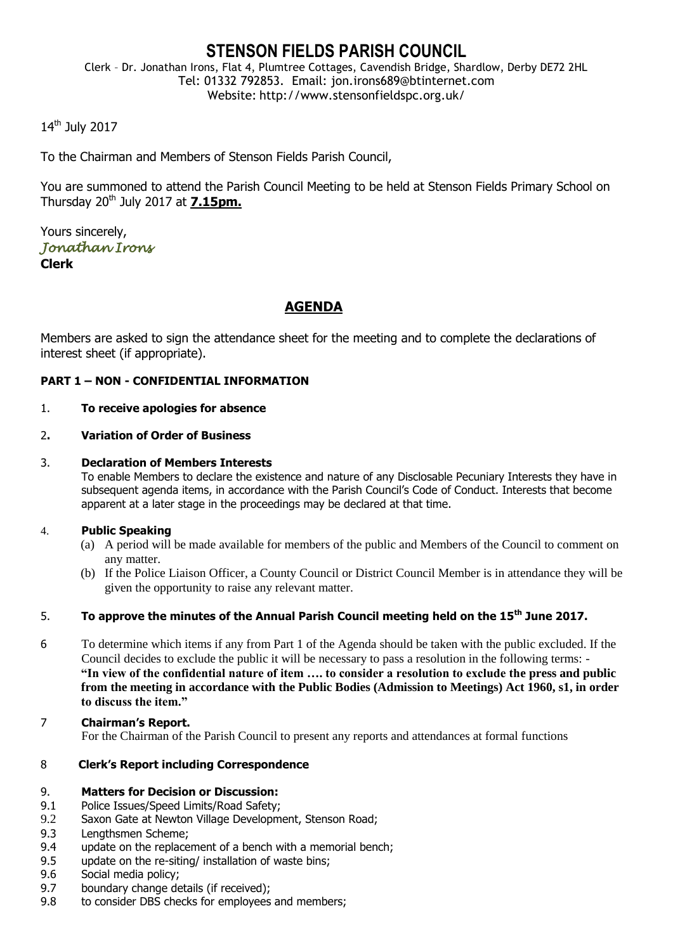# **STENSON FIELDS PARISH COUNCIL**

Clerk – Dr. Jonathan Irons, Flat 4, Plumtree Cottages, Cavendish Bridge, Shardlow, Derby DE72 2HL Tel: 01332 792853. Email: jon.irons689@btinternet.com Website: http://www.stensonfieldspc.org.uk/

# 14<sup>th</sup> July 2017

To the Chairman and Members of Stenson Fields Parish Council,

You are summoned to attend the Parish Council Meeting to be held at Stenson Fields Primary School on Thursday 20th July 2017 at **7.15pm.**

Yours sincerely, *Jonathan Irons*  **Clerk**

# **AGENDA**

Members are asked to sign the attendance sheet for the meeting and to complete the declarations of interest sheet (if appropriate).

#### **PART 1 – NON - CONFIDENTIAL INFORMATION**

#### 1. **To receive apologies for absence**

#### 2**. Variation of Order of Business**

#### 3. **Declaration of Members Interests**

To enable Members to declare the existence and nature of any Disclosable Pecuniary Interests they have in subsequent agenda items, in accordance with the Parish Council's Code of Conduct. Interests that become apparent at a later stage in the proceedings may be declared at that time.

#### 4. **Public Speaking**

- (a) A period will be made available for members of the public and Members of the Council to comment on any matter.
- (b) If the Police Liaison Officer, a County Council or District Council Member is in attendance they will be given the opportunity to raise any relevant matter.

# 5. **To approve the minutes of the Annual Parish Council meeting held on the 15th June 2017.**

- 6 To determine which items if any from Part 1 of the Agenda should be taken with the public excluded. If the Council decides to exclude the public it will be necessary to pass a resolution in the following terms: - **"In view of the confidential nature of item …. to consider a resolution to exclude the press and public from the meeting in accordance with the Public Bodies (Admission to Meetings) Act 1960, s1, in order to discuss the item."**
- 7 **Chairman's Report.** For the Chairman of the Parish Council to present any reports and attendances at formal functions

#### 8 **Clerk's Report including Correspondence**

#### 9. **Matters for Decision or Discussion:**

- 9.1 Police Issues/Speed Limits/Road Safety;
- 9.2 Saxon Gate at Newton Village Development, Stenson Road;
- 9.3 Lengthsmen Scheme;
- 9.4 update on the replacement of a bench with a memorial bench;
- 9.5 update on the re-siting/ installation of waste bins;
- 9.6 Social media policy;
- 9.7 boundary change details (if received);
- 9.8 to consider DBS checks for employees and members;